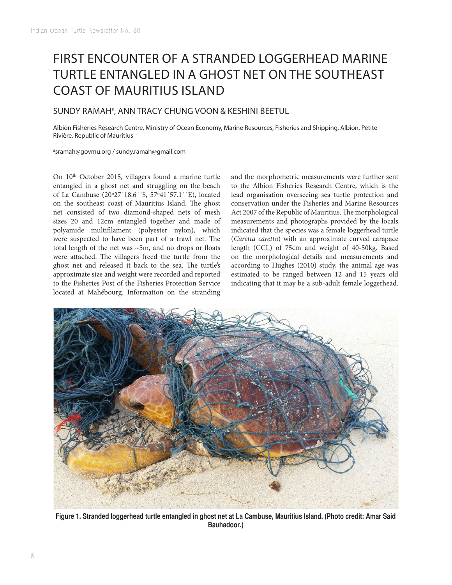## FIRST ENCOUNTER OF A STRANDED LOGGERHEAD MARINE TURTLE ENTANGLED IN A GHOST NET ON THE SOUTHEAST COAST OF MAURITIUS ISLAND

## SUNDY RAMAH# , ANN TRACY CHUNG VOON & KESHINI BEETUL

Albion Fisheries Research Centre, Ministry of Ocean Economy, Marine Resources, Fisheries and Shipping, Albion, Petite Rivière, Republic of Mauritius

**#** sramah@govmu.org / sundy.ramah@gmail.com

On  $10<sup>th</sup>$  October 2015, villagers found a marine turtle entangled in a ghost net and struggling on the beach of La Cambuse (20º27´18.6´´S, 57º41´57.1´´E), located on the southeast coast of Mauritius Island. The ghost net consisted of two diamond-shaped nets of mesh sizes 20 and 12cm entangled together and made of polyamide multiflament (polyester nylon), which were suspected to have been part of a trawl net. The total length of the net was ~5m, and no drops or foats were attached. The villagers freed the turtle from the ghost net and released it back to the sea. The turtle's approximate size and weight were recorded and reported to the Fisheries Post of the Fisheries Protection Service located at Mahébourg. Information on the stranding

and the morphometric measurements were further sent to the Albion Fisheries Research Centre, which is the lead organisation overseeing sea turtle protection and conservation under the Fisheries and Marine Resources Act 2007 of the Republic of Mauritius. The morphological measurements and photographs provided by the locals indicated that the species was a female loggerhead turtle (*Caretta caretta*) with an approximate curved carapace length (CCL) of 75cm and weight of 40-50kg. Based on the morphological details and measurements and according to Hughes (2010) study, the animal age was estimated to be ranged between 12 and 15 years old indicating that it may be a sub-adult female loggerhead.



**Figure 1. Stranded loggerhead turtle entangled in ghost net at La Cambuse, Mauritius Island. (Photo credit: Amar Said Bauhadoor.)**